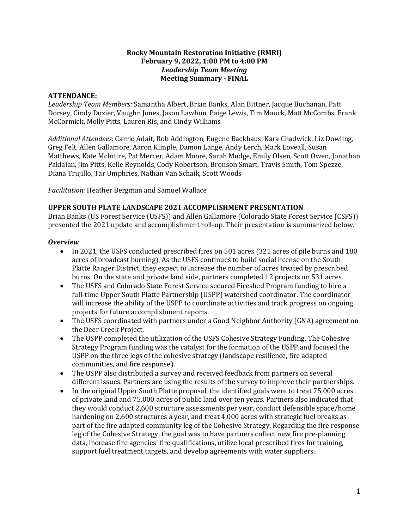#### **Rocky Mountain Restoration Initiative (RMRI) February 9, 2022, 1:00 PM to 4:00 PM** *Leadership Team Meeting* **Meeting Summary - FINAL**

### **ATTENDANCE:**

*Leadership Team Members:* Samantha Albert, Brian Banks, Alan Bittner, Jacque Buchanan, Patt Dorsey, Cindy Dozier, Vaughn Jones, Jason Lawhon, Paige Lewis, Tim Mauck, Matt McCombs, Frank McCormick, Molly Pitts, Lauren Ris, and Cindy Williams

*Additional Attendees:* Carrie Adait, Rob Addington, Eugene Backhaus, Kara Chadwick, Liz Dowling, Greg Felt, Allen Gallamore, Aaron Kimple, Damon Lange, Andy Lerch, Mark Loveall, Susan Matthews, Kate McIntire, Pat Mercer, Adam Moore, Sarah Mudge, Emily Olsen, Scott Owen, Jonathan Paklaian, Jim Pitts, Kelle Reynolds, Cody Robertson, Bronson Smart, Travis Smith, Tom Spezze, Diana Trujillo, Tar Umphries, Nathan Van Schaik, Scott Woods

*Facilitation:* Heather Bergman and Samuel Wallace

#### **UPPER SOUTH PLATE LANDSCAPE 2021 ACCOMPLISHMENT PRESENTATION**

Brian Banks (US Forest Service (USFS)) and Allen Gallamore (Colorado State Forest Service (CSFS)) presented the 2021 update and accomplishment roll-up. Their presentation is summarized below.

#### *Overview*

- In 2021, the USFS conducted prescribed fires on 501 acres (321 acres of pile burns and 180 acres of broadcast burning). As the USFS continues to build social license on the South Platte Ranger District, they expect to increase the number of acres treated by prescribed burns. On the state and private land side, partners completed 12 projects on 531 acres.
- The USFS and Colorado State Forest Service secured Fireshed Program funding to hire a full-time Upper South Platte Partnership (USPP) watershed coordinator. The coordinator will increase the ability of the USPP to coordinate activities and track progress on ongoing projects for future accomplishment reports.
- The USFS coordinated with partners under a Good Neighbor Authority (GNA) agreement on the Deer Creek Project.
- The USPP completed the utilization of the USFS Cohesive Strategy Funding. The Cohesive Strategy Program funding was the catalyst for the formation of the USPP and focused the USPP on the three legs of the cohesive strategy (landscape resilience, fire adapted communities, and fire response).
- The USPP also distributed a survey and received feedback from partners on several different issues. Partners are using the results of the survey to improve their partnerships.
- In the original Upper South Platte proposal, the identified goals were to treat 75,000 acres of private land and 75,000 acres of public land over ten years. Partners also indicated that they would conduct 2,600 structure assessments per year, conduct defensible space/home hardening on 2,600 structures a year, and treat 4,000 acres with strategic fuel breaks as part of the fire adapted community leg of the Cohesive Strategy. Regarding the fire response leg of the Cohesive Strategy, the goal was to have partners collect new fire pre-planning data, increase fire agencies' fire qualifications, utilize local prescribed fires for training, support fuel treatment targets, and develop agreements with water suppliers.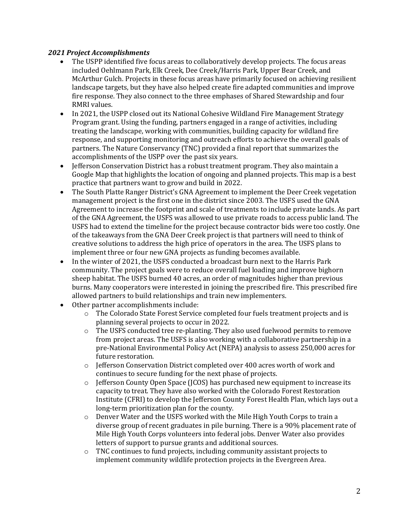### *2021 Project Accomplishments*

- The USPP identified five focus areas to collaboratively develop projects. The focus areas included Oehlmann Park, Elk Creek, Dee Creek/Harris Park, Upper Bear Creek, and McArthur Gulch. Projects in these focus areas have primarily focused on achieving resilient landscape targets, but they have also helped create fire adapted communities and improve fire response. They also connect to the three emphases of Shared Stewardship and four RMRI values.
- In 2021, the USPP closed out its National Cohesive Wildland Fire Management Strategy Program grant. Using the funding, partners engaged in a range of activities, including treating the landscape, working with communities, building capacity for wildland fire response, and supporting monitoring and outreach efforts to achieve the overall goals of partners. The Nature Conservancy (TNC) provided a final report that summarizes the accomplishments of the USPP over the past six years.
- Jefferson Conservation District has a robust treatment program. They also maintain a Google Map that highlights the location of ongoing and planned projects. This map is a best practice that partners want to grow and build in 2022.
- The South Platte Ranger District's GNA Agreement to implement the Deer Creek vegetation management project is the first one in the district since 2003. The USFS used the GNA Agreement to increase the footprint and scale of treatments to include private lands. As part of the GNA Agreement, the USFS was allowed to use private roads to access public land. The USFS had to extend the timeline for the project because contractor bids were too costly. One of the takeaways from the GNA Deer Creek project is that partners will need to think of creative solutions to address the high price of operators in the area. The USFS plans to implement three or four new GNA projects as funding becomes available.
- In the winter of 2021, the USFS conducted a broadcast burn next to the Harris Park community. The project goals were to reduce overall fuel loading and improve bighorn sheep habitat. The USFS burned 40 acres, an order of magnitudes higher than previous burns. Many cooperators were interested in joining the prescribed fire. This prescribed fire allowed partners to build relationships and train new implementers.
- Other partner accomplishments include:
	- o The Colorado State Forest Service completed four fuels treatment projects and is planning several projects to occur in 2022.
	- o The USFS conducted tree re-planting. They also used fuelwood permits to remove from project areas. The USFS is also working with a collaborative partnership in a pre-National Environmental Policy Act (NEPA) analysis to assess 250,000 acres for future restoration.
	- o Jefferson Conservation District completed over 400 acres worth of work and continues to secure funding for the next phase of projects.
	- o Jefferson County Open Space (JCOS) has purchased new equipment to increase its capacity to treat. They have also worked with the Colorado Forest Restoration Institute (CFRI) to develop the Jefferson County Forest Health Plan, which lays out a long-term prioritization plan for the county.
	- $\circ$  Denver Water and the USFS worked with the Mile High Youth Corps to train a diverse group of recent graduates in pile burning. There is a 90% placement rate of Mile High Youth Corps volunteers into federal jobs. Denver Water also provides letters of support to pursue grants and additional sources.
	- o TNC continues to fund projects, including community assistant projects to implement community wildlife protection projects in the Evergreen Area.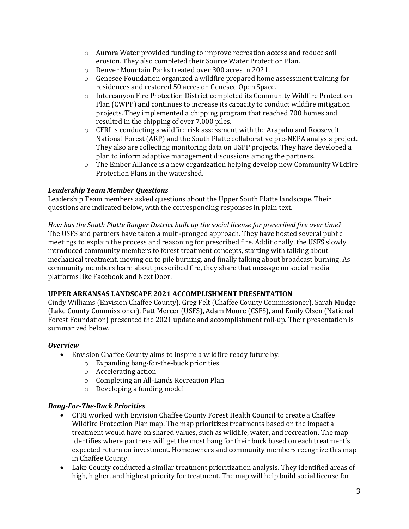- o Aurora Water provided funding to improve recreation access and reduce soil erosion. They also completed their Source Water Protection Plan.
- o Denver Mountain Parks treated over 300 acres in 2021.
- $\circ$  Genesee Foundation organized a wildfire prepared home assessment training for residences and restored 50 acres on Genesee Open Space.
- o Intercanyon Fire Protection District completed its Community Wildfire Protection Plan (CWPP) and continues to increase its capacity to conduct wildfire mitigation projects. They implemented a chipping program that reached 700 homes and resulted in the chipping of over 7,000 piles.
- $\circ$  CFRI is conducting a wildfire risk assessment with the Arapaho and Roosevelt National Forest (ARP) and the South Platte collaborative pre-NEPA analysis project. They also are collecting monitoring data on USPP projects. They have developed a plan to inform adaptive management discussions among the partners.
- $\circ$  The Ember Alliance is a new organization helping develop new Community Wildfire Protection Plans in the watershed.

## *Leadership Team Member Questions*

Leadership Team members asked questions about the Upper South Platte landscape. Their questions are indicated below, with the corresponding responses in plain text.

*How has the South Platte Ranger District built up the social license for prescribed fire over time?* The USFS and partners have taken a multi-pronged approach. They have hosted several public meetings to explain the process and reasoning for prescribed fire. Additionally, the USFS slowly introduced community members to forest treatment concepts, starting with talking about mechanical treatment, moving on to pile burning, and finally talking about broadcast burning. As community members learn about prescribed fire, they share that message on social media platforms like Facebook and Next Door.

### **UPPER ARKANSAS LANDSCAPE 2021 ACCOMPLISHMENT PRESENTATION**

Cindy Williams (Envision Chaffee County), Greg Felt (Chaffee County Commissioner), Sarah Mudge (Lake County Commissioner), Patt Mercer (USFS), Adam Moore (CSFS), and Emily Olsen (National Forest Foundation) presented the 2021 update and accomplishment roll-up. Their presentation is summarized below.

### *Overview*

- Envision Chaffee County aims to inspire a wildfire ready future by:
	- o Expanding bang-for-the-buck priorities
	- o Accelerating action
	- o Completing an All-Lands Recreation Plan
	- o Developing a funding model

# *Bang-For-The-Buck Priorities*

- CFRI worked with Envision Chaffee County Forest Health Council to create a Chaffee Wildfire Protection Plan map. The map prioritizes treatments based on the impact a treatment would have on shared values, such as wildlife, water, and recreation. The map identifies where partners will get the most bang for their buck based on each treatment's expected return on investment. Homeowners and community members recognize this map in Chaffee County.
- Lake County conducted a similar treatment prioritization analysis. They identified areas of high, higher, and highest priority for treatment. The map will help build social license for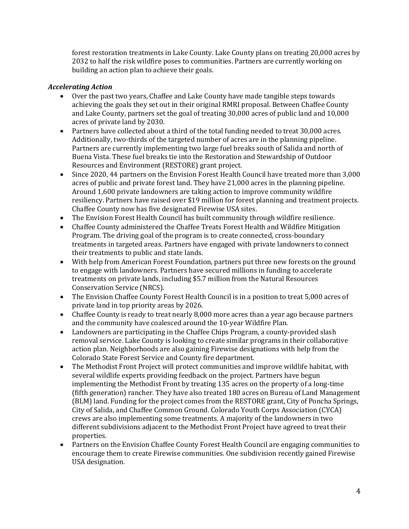forest restoration treatments in Lake County. Lake County plans on treating 20,000 acres by 2032 to half the risk wildfire poses to communities. Partners are currently working on building an action plan to achieve their goals.

### *Accelerating Action*

- Over the past two years, Chaffee and Lake County have made tangible steps towards achieving the goals they set out in their original RMRI proposal. Between Chaffee County and Lake County, partners set the goal of treating 30,000 acres of public land and 10,000 acres of private land by 2030.
- Partners have collected about a third of the total funding needed to treat 30,000 acres. Additionally, two-thirds of the targeted number of acres are in the planning pipeline. Partners are currently implementing two large fuel breaks south of Salida and north of Buena Vista. These fuel breaks tie into the Restoration and Stewardship of Outdoor Resources and Environment (RESTORE) grant project.
- Since 2020, 44 partners on the Envision Forest Health Council have treated more than 3,000 acres of public and private forest land. They have 21,000 acres in the planning pipeline. Around 1,600 private landowners are taking action to improve community wildfire resiliency. Partners have raised over \$19 million for forest planning and treatment projects. Chaffee County now has five designated Firewise USA sites.
- The Envision Forest Health Council has built community through wildfire resilience.
- Chaffee County administered the Chaffee Treats Forest Health and Wildfire Mitigation Program. The driving goal of the program is to create connected, cross-boundary treatments in targeted areas. Partners have engaged with private landowners to connect their treatments to public and state lands.
- With help from American Forest Foundation, partners put three new forests on the ground to engage with landowners. Partners have secured millions in funding to accelerate treatments on private lands, including \$5.7 million from the Natural Resources Conservation Service (NRCS).
- The Envision Chaffee County Forest Health Council is in a position to treat 5,000 acres of private land in top priority areas by 2026.
- Chaffee County is ready to treat nearly 8,000 more acres than a year ago because partners and the community have coalesced around the 10-year Wildfire Plan.
- Landowners are participating in the Chaffee Chips Program, a county-provided slash removal service. Lake County is looking to create similar programs in their collaborative action plan. Neighborhoods are also gaining Firewise designations with help from the Colorado State Forest Service and County fire department.
- The Methodist Front Project will protect communities and improve wildlife habitat, with several wildlife experts providing feedback on the project. Partners have begun implementing the Methodist Front by treating 135 acres on the property of a long-time (fifth generation) rancher. They have also treated 180 acres on Bureau of Land Management (BLM) land. Funding for the project comes from the RESTORE grant, City of Poncha Springs, City of Salida, and Chaffee Common Ground. Colorado Youth Corps Association (CYCA) crews are also implementing some treatments. A majority of the landowners in two different subdivisions adjacent to the Methodist Front Project have agreed to treat their properties.
- Partners on the Envision Chaffee County Forest Health Council are engaging communities to encourage them to create Firewise communities. One subdivision recently gained Firewise USA designation.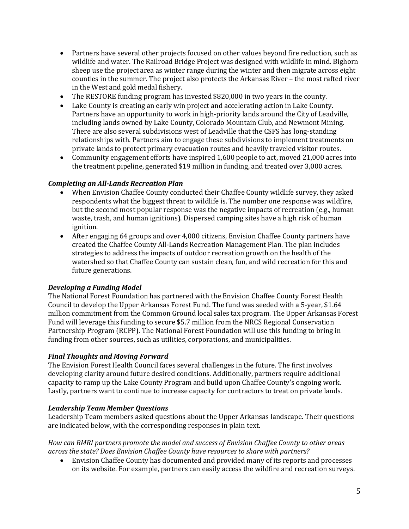- Partners have several other projects focused on other values beyond fire reduction, such as wildlife and water. The Railroad Bridge Project was designed with wildlife in mind. Bighorn sheep use the project area as winter range during the winter and then migrate across eight counties in the summer. The project also protects the Arkansas River – the most rafted river in the West and gold medal fishery.
- The RESTORE funding program has invested \$820,000 in two years in the county.
- Lake County is creating an early win project and accelerating action in Lake County. Partners have an opportunity to work in high-priority lands around the City of Leadville, including lands owned by Lake County, Colorado Mountain Club, and Newmont Mining. There are also several subdivisions west of Leadville that the CSFS has long-standing relationships with. Partners aim to engage these subdivisions to implement treatments on private lands to protect primary evacuation routes and heavily traveled visitor routes.
- Community engagement efforts have inspired 1,600 people to act, moved 21,000 acres into the treatment pipeline, generated \$19 million in funding, and treated over 3,000 acres.

## *Completing an All-Lands Recreation Plan*

- When Envision Chaffee County conducted their Chaffee County wildlife survey, they asked respondents what the biggest threat to wildlife is. The number one response was wildfire, but the second most popular response was the negative impacts of recreation (e.g., human waste, trash, and human ignitions). Dispersed camping sites have a high risk of human ignition.
- After engaging 64 groups and over 4,000 citizens, Envision Chaffee County partners have created the Chaffee County All-Lands Recreation Management Plan. The plan includes strategies to address the impacts of outdoor recreation growth on the health of the watershed so that Chaffee County can sustain clean, fun, and wild recreation for this and future generations.

### *Developing a Funding Model*

The National Forest Foundation has partnered with the Envision Chaffee County Forest Health Council to develop the Upper Arkansas Forest Fund. The fund was seeded with a 5-year, \$1.64 million commitment from the Common Ground local sales tax program. The Upper Arkansas Forest Fund will leverage this funding to secure \$5.7 million from the NRCS Regional Conservation Partnership Program (RCPP). The National Forest Foundation will use this funding to bring in funding from other sources, such as utilities, corporations, and municipalities.

### *Final Thoughts and Moving Forward*

The Envision Forest Health Council faces several challenges in the future. The first involves developing clarity around future desired conditions. Additionally, partners require additional capacity to ramp up the Lake County Program and build upon Chaffee County's ongoing work. Lastly, partners want to continue to increase capacity for contractors to treat on private lands.

#### *Leadership Team Member Questions*

Leadership Team members asked questions about the Upper Arkansas landscape. Their questions are indicated below, with the corresponding responses in plain text.

*How can RMRI partners promote the model and success of Envision Chaffee County to other areas across the state? Does Envision Chaffee County have resources to share with partners?*

• Envision Chaffee County has documented and provided many of its reports and processes on its website. For example, partners can easily access the wildfire and recreation surveys.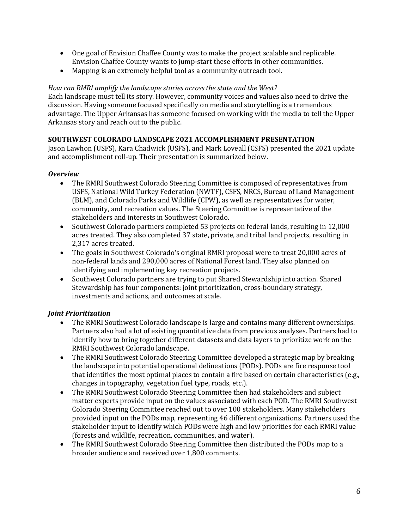- One goal of Envision Chaffee County was to make the project scalable and replicable. Envision Chaffee County wants to jump-start these efforts in other communities.
- Mapping is an extremely helpful tool as a community outreach tool.

*How can RMRI amplify the landscape stories across the state and the West?* Each landscape must tell its story. However, community voices and values also need to drive the discussion. Having someone focused specifically on media and storytelling is a tremendous advantage. The Upper Arkansas has someone focused on working with the media to tell the Upper Arkansas story and reach out to the public.

## **SOUTHWEST COLORADO LANDSCAPE 2021 ACCOMPLISHMENT PRESENTATION**

Jason Lawhon (USFS), Kara Chadwick (USFS), and Mark Loveall (CSFS) presented the 2021 update and accomplishment roll-up. Their presentation is summarized below.

### *Overview*

- The RMRI Southwest Colorado Steering Committee is composed of representatives from USFS, National Wild Turkey Federation (NWTF), CSFS, NRCS, Bureau of Land Management (BLM), and Colorado Parks and Wildlife (CPW), as well as representatives for water, community, and recreation values. The Steering Committee is representative of the stakeholders and interests in Southwest Colorado.
- Southwest Colorado partners completed 53 projects on federal lands, resulting in 12,000 acres treated. They also completed 37 state, private, and tribal land projects, resulting in 2,317 acres treated.
- The goals in Southwest Colorado's original RMRI proposal were to treat 20,000 acres of non-federal lands and 290,000 acres of National Forest land. They also planned on identifying and implementing key recreation projects.
- Southwest Colorado partners are trying to put Shared Stewardship into action. Shared Stewardship has four components: joint prioritization, cross-boundary strategy, investments and actions, and outcomes at scale.

# *Joint Prioritization*

- The RMRI Southwest Colorado landscape is large and contains many different ownerships. Partners also had a lot of existing quantitative data from previous analyses. Partners had to identify how to bring together different datasets and data layers to prioritize work on the RMRI Southwest Colorado landscape.
- The RMRI Southwest Colorado Steering Committee developed a strategic map by breaking the landscape into potential operational delineations (PODs). PODs are fire response tool that identifies the most optimal places to contain a fire based on certain characteristics (e.g., changes in topography, vegetation fuel type, roads, etc.).
- The RMRI Southwest Colorado Steering Committee then had stakeholders and subject matter experts provide input on the values associated with each POD. The RMRI Southwest Colorado Steering Committee reached out to over 100 stakeholders. Many stakeholders provided input on the PODs map, representing 46 different organizations. Partners used the stakeholder input to identify which PODs were high and low priorities for each RMRI value (forests and wildlife, recreation, communities, and water).
- The RMRI Southwest Colorado Steering Committee then distributed the PODs map to a broader audience and received over 1,800 comments.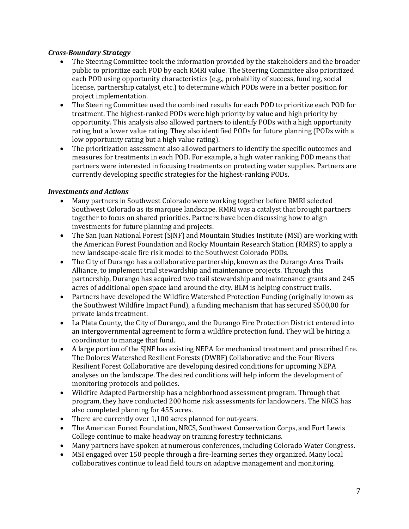### *Cross-Boundary Strategy*

- The Steering Committee took the information provided by the stakeholders and the broader public to prioritize each POD by each RMRI value. The Steering Committee also prioritized each POD using opportunity characteristics (e.g., probability of success, funding, social license, partnership catalyst, etc.) to determine which PODs were in a better position for project implementation.
- The Steering Committee used the combined results for each POD to prioritize each POD for treatment. The highest-ranked PODs were high priority by value and high priority by opportunity. This analysis also allowed partners to identify PODs with a high opportunity rating but a lower value rating. They also identified PODs for future planning (PODs with a low opportunity rating but a high value rating).
- The prioritization assessment also allowed partners to identify the specific outcomes and measures for treatments in each POD. For example, a high water ranking POD means that partners were interested in focusing treatments on protecting water supplies. Partners are currently developing specific strategies for the highest-ranking PODs.

### *Investments and Actions*

- Many partners in Southwest Colorado were working together before RMRI selected Southwest Colorado as its marquee landscape. RMRI was a catalyst that brought partners together to focus on shared priorities. Partners have been discussing how to align investments for future planning and projects.
- The San Juan National Forest (SJNF) and Mountain Studies Institute (MSI) are working with the American Forest Foundation and Rocky Mountain Research Station (RMRS) to apply a new landscape-scale fire risk model to the Southwest Colorado PODs.
- The City of Durango has a collaborative partnership, known as the Durango Area Trails Alliance, to implement trail stewardship and maintenance projects. Through this partnership, Durango has acquired two trail stewardship and maintenance grants and 245 acres of additional open space land around the city. BLM is helping construct trails.
- Partners have developed the Wildfire Watershed Protection Funding (originally known as the Southwest Wildfire Impact Fund), a funding mechanism that has secured \$500,00 for private lands treatment.
- La Plata County, the City of Durango, and the Durango Fire Protection District entered into an intergovernmental agreement to form a wildfire protection fund. They will be hiring a coordinator to manage that fund.
- A large portion of the SJNF has existing NEPA for mechanical treatment and prescribed fire. The Dolores Watershed Resilient Forests (DWRF) Collaborative and the Four Rivers Resilient Forest Collaborative are developing desired conditions for upcoming NEPA analyses on the landscape. The desired conditions will help inform the development of monitoring protocols and policies.
- Wildfire Adapted Partnership has a neighborhood assessment program. Through that program, they have conducted 200 home risk assessments for landowners. The NRCS has also completed planning for 455 acres.
- There are currently over 1,100 acres planned for out-years.
- The American Forest Foundation, NRCS, Southwest Conservation Corps, and Fort Lewis College continue to make headway on training forestry technicians.
- Many partners have spoken at numerous conferences, including Colorado Water Congress.
- MSI engaged over 150 people through a fire-learning series they organized. Many local collaboratives continue to lead field tours on adaptive management and monitoring.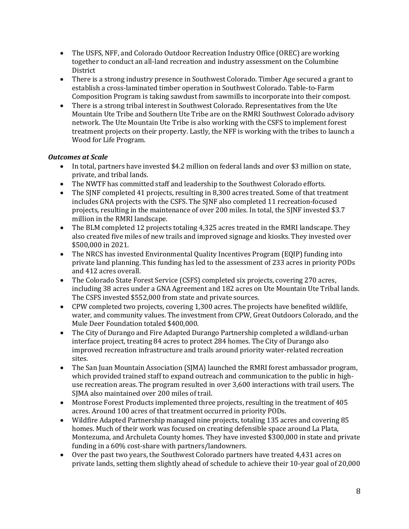- The USFS, NFF, and Colorado Outdoor Recreation Industry Office (OREC) are working together to conduct an all-land recreation and industry assessment on the Columbine District
- There is a strong industry presence in Southwest Colorado. Timber Age secured a grant to establish a cross-laminated timber operation in Southwest Colorado. Table-to-Farm Composition Program is taking sawdust from sawmills to incorporate into their compost.
- There is a strong tribal interest in Southwest Colorado. Representatives from the Ute Mountain Ute Tribe and Southern Ute Tribe are on the RMRI Southwest Colorado advisory network. The Ute Mountain Ute Tribe is also working with the CSFS to implement forest treatment projects on their property. Lastly, the NFF is working with the tribes to launch a Wood for Life Program.

## *Outcomes at Scale*

- In total, partners have invested \$4.2 million on federal lands and over \$3 million on state, private, and tribal lands.
- The NWTF has committed staff and leadership to the Southwest Colorado efforts.
- The SINF completed 41 projects, resulting in 8,300 acres treated. Some of that treatment includes GNA projects with the CSFS. The SJNF also completed 11 recreation-focused projects, resulting in the maintenance of over 200 miles. In total, the SJNF invested \$3.7 million in the RMRI landscape.
- The BLM completed 12 projects totaling 4,325 acres treated in the RMRI landscape. They also created five miles of new trails and improved signage and kiosks. They invested over \$500,000 in 2021.
- The NRCS has invested Environmental Quality Incentives Program (EQIP) funding into private land planning. This funding has led to the assessment of 233 acres in priority PODs and 412 acres overall.
- The Colorado State Forest Service (CSFS) completed six projects, covering 270 acres, including 38 acres under a GNA Agreement and 182 acres on Ute Mountain Ute Tribal lands. The CSFS invested \$552,000 from state and private sources.
- CPW completed two projects, covering 1,300 acres. The projects have benefited wildlife, water, and community values. The investment from CPW, Great Outdoors Colorado, and the Mule Deer Foundation totaled \$400,000.
- The City of Durango and Fire Adapted Durango Partnership completed a wildland-urban interface project, treating 84 acres to protect 284 homes. The City of Durango also improved recreation infrastructure and trails around priority water-related recreation sites.
- The San Juan Mountain Association (SJMA) launched the RMRI forest ambassador program, which provided trained staff to expand outreach and communication to the public in highuse recreation areas. The program resulted in over 3,600 interactions with trail users. The SJMA also maintained over 200 miles of trail.
- Montrose Forest Products implemented three projects, resulting in the treatment of 405 acres. Around 100 acres of that treatment occurred in priority PODs.
- Wildfire Adapted Partnership managed nine projects, totaling 135 acres and covering 85 homes. Much of their work was focused on creating defensible space around La Plata, Montezuma, and Archuleta County homes. They have invested \$300,000 in state and private funding in a 60% cost-share with partners/landowners.
- Over the past two years, the Southwest Colorado partners have treated 4,431 acres on private lands, setting them slightly ahead of schedule to achieve their 10-year goal of 20,000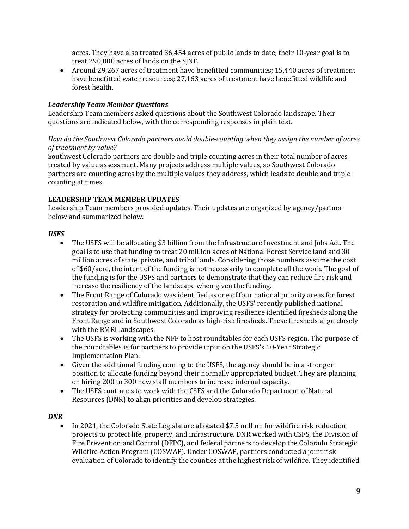acres. They have also treated 36,454 acres of public lands to date; their 10-year goal is to treat 290,000 acres of lands on the SJNF.

• Around 29,267 acres of treatment have benefitted communities; 15,440 acres of treatment have benefitted water resources; 27,163 acres of treatment have benefitted wildlife and forest health.

### *Leadership Team Member Questions*

Leadership Team members asked questions about the Southwest Colorado landscape. Their questions are indicated below, with the corresponding responses in plain text.

### *How do the Southwest Colorado partners avoid double-counting when they assign the number of acres of treatment by value?*

Southwest Colorado partners are double and triple counting acres in their total number of acres treated by value assessment. Many projects address multiple values, so Southwest Colorado partners are counting acres by the multiple values they address, which leads to double and triple counting at times.

## **LEADERSHIP TEAM MEMBER UPDATES**

Leadership Team members provided updates. Their updates are organized by agency/partner below and summarized below.

## *USFS*

- The USFS will be allocating \$3 billion from the Infrastructure Investment and Jobs Act. The goal is to use that funding to treat 20 million acres of National Forest Service land and 30 million acres of state, private, and tribal lands. Considering those numbers assume the cost of \$60/acre, the intent of the funding is not necessarily to complete all the work. The goal of the funding is for the USFS and partners to demonstrate that they can reduce fire risk and increase the resiliency of the landscape when given the funding.
- The Front Range of Colorado was identified as one of four national priority areas for forest restoration and wildfire mitigation. Additionally, the USFS' recently published national strategy for protecting communities and improving resilience identified firesheds along the Front Range and in Southwest Colorado as high-risk firesheds. These firesheds align closely with the RMRI landscapes.
- The USFS is working with the NFF to host roundtables for each USFS region. The purpose of the roundtables is for partners to provide input on the USFS's 10-Year Strategic Implementation Plan.
- Given the additional funding coming to the USFS, the agency should be in a stronger position to allocate funding beyond their normally appropriated budget. They are planning on hiring 200 to 300 new staff members to increase internal capacity.
- The USFS continues to work with the CSFS and the Colorado Department of Natural Resources (DNR) to align priorities and develop strategies.

# *DNR*

• In 2021, the Colorado State Legislature allocated \$7.5 million for wildfire risk reduction projects to protect life, property, and infrastructure. DNR worked with CSFS, the Division of Fire Prevention and Control (DFPC), and federal partners to develop the Colorado Strategic Wildfire Action Program (COSWAP). Under COSWAP, partners conducted a joint risk evaluation of Colorado to identify the counties at the highest risk of wildfire. They identified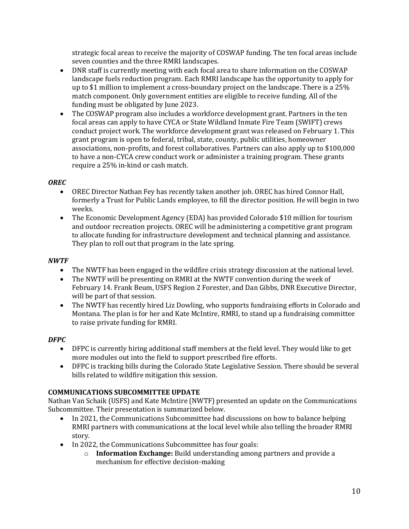strategic focal areas to receive the majority of COSWAP funding. The ten focal areas include seven counties and the three RMRI landscapes.

- DNR staff is currently meeting with each focal area to share information on the COSWAP landscape fuels reduction program. Each RMRI landscape has the opportunity to apply for up to \$1 million to implement a cross-boundary project on the landscape. There is a 25% match component. Only government entities are eligible to receive funding. All of the funding must be obligated by June 2023.
- The COSWAP program also includes a workforce development grant. Partners in the ten focal areas can apply to have CYCA or State Wildland Inmate Fire Team (SWIFT) crews conduct project work. The workforce development grant was released on February 1. This grant program is open to federal, tribal, state, county, public utilities, homeowner associations, non-profits, and forest collaboratives. Partners can also apply up to \$100,000 to have a non-CYCA crew conduct work or administer a training program. These grants require a 25% in-kind or cash match.

## *OREC*

- OREC Director Nathan Fey has recently taken another job. OREC has hired Connor Hall, formerly a Trust for Public Lands employee, to fill the director position. He will begin in two weeks.
- The Economic Development Agency (EDA) has provided Colorado \$10 million for tourism and outdoor recreation projects. OREC will be administering a competitive grant program to allocate funding for infrastructure development and technical planning and assistance. They plan to roll out that program in the late spring.

#### *NWTF*

- The NWTF has been engaged in the wildfire crisis strategy discussion at the national level.
- The NWTF will be presenting on RMRI at the NWTF convention during the week of February 14. Frank Beum, USFS Region 2 Forester, and Dan Gibbs, DNR Executive Director, will be part of that session.
- The NWTF has recently hired Liz Dowling, who supports fundraising efforts in Colorado and Montana. The plan is for her and Kate McIntire, RMRI, to stand up a fundraising committee to raise private funding for RMRI.

### *DFPC*

- DFPC is currently hiring additional staff members at the field level. They would like to get more modules out into the field to support prescribed fire efforts.
- DFPC is tracking bills during the Colorado State Legislative Session. There should be several bills related to wildfire mitigation this session.

#### **COMMUNICATIONS SUBCOMMITTEE UPDATE**

Nathan Van Schaik (USFS) and Kate McIntire (NWTF) presented an update on the Communications Subcommittee. Their presentation is summarized below.<br>• In 2021, the Communications Subcommittee had

- In 2021, the Communications Subcommittee had discussions on how to balance helping RMRI partners with communications at the local level while also telling the broader RMRI story.
- In 2022, the Communications Subcommittee has four goals:
	- o **Information Exchange:** Build understanding among partners and provide a mechanism for effective decision-making